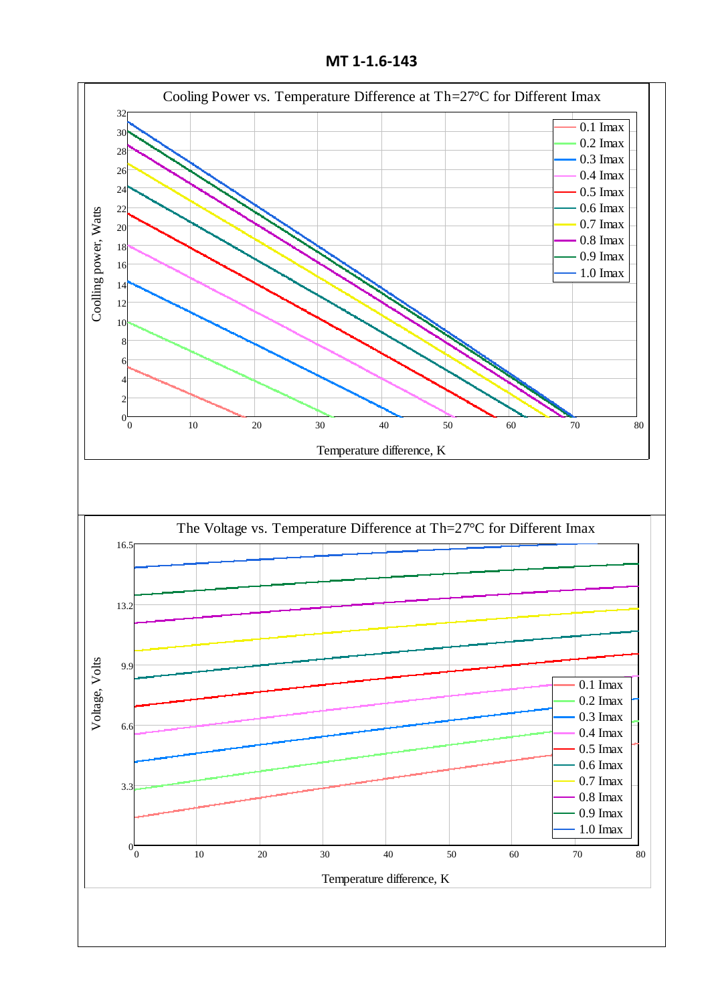**MT 1-1.6-143**